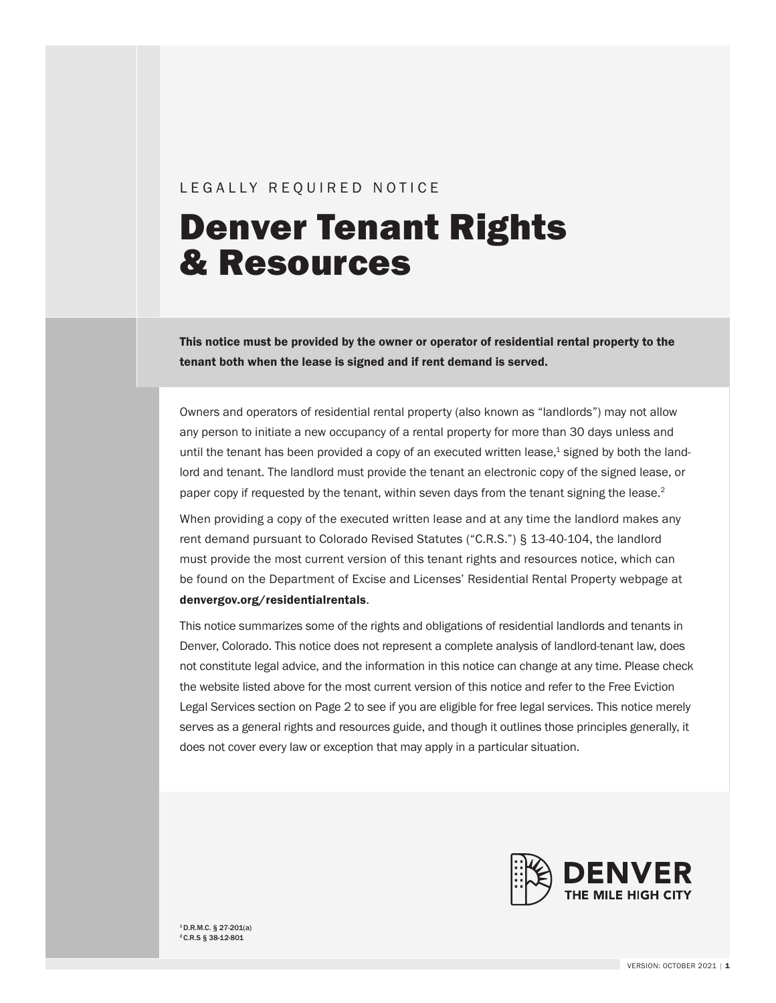#### LEGALLY REQUIRED NOTICE

# Denver Tenant Rights & Resources

This notice must be provided by the owner or operator of residential rental property to the tenant both when the lease is signed and if rent demand is served.

Owners and operators of residential rental property (also known as "landlords") may not allow any person to initiate a new occupancy of a rental property for more than 30 days unless and until the tenant has been provided a copy of an executed written lease,<sup>1</sup> signed by both the landlord and tenant. The landlord must provide the tenant an electronic copy of the signed lease, or paper copy if requested by the tenant, within seven days from the tenant signing the lease.<sup>2</sup>

When providing a copy of the executed written lease and at any time the landlord makes any rent demand pursuant to Colorado Revised Statutes ("C.R.S.") § 13-40-104, the landlord must provide the most current version of this tenant rights and resources notice, which can be found on the Department of Excise and Licenses' Residential Rental Property webpage at [denvergov.org/residentialr](https://denvergov.org/Government/Agencies-Departments-Offices/Business-Licensing/Business-Licenses/Residential-Rental-Property)entals.

This notice summarizes some of the rights and obligations of residential landlords and tenants in Denver, Colorado. This notice does not represent a complete analysis of landlord-tenant law, does not constitute legal advice, and the information in this notice can change at any time. Please check the website listed above for the most current version of this notice and refer to the Free Eviction Legal Services section on Page 2 to see if you are eligible for free legal services. This notice merely serves as a general rights and resources guide, and though it outlines those principles generally, it does not cover every law or exception that may apply in a particular situation.



 $1$  D.R.M.C. § 27-201(a) 2 C.R.S § 38-12-801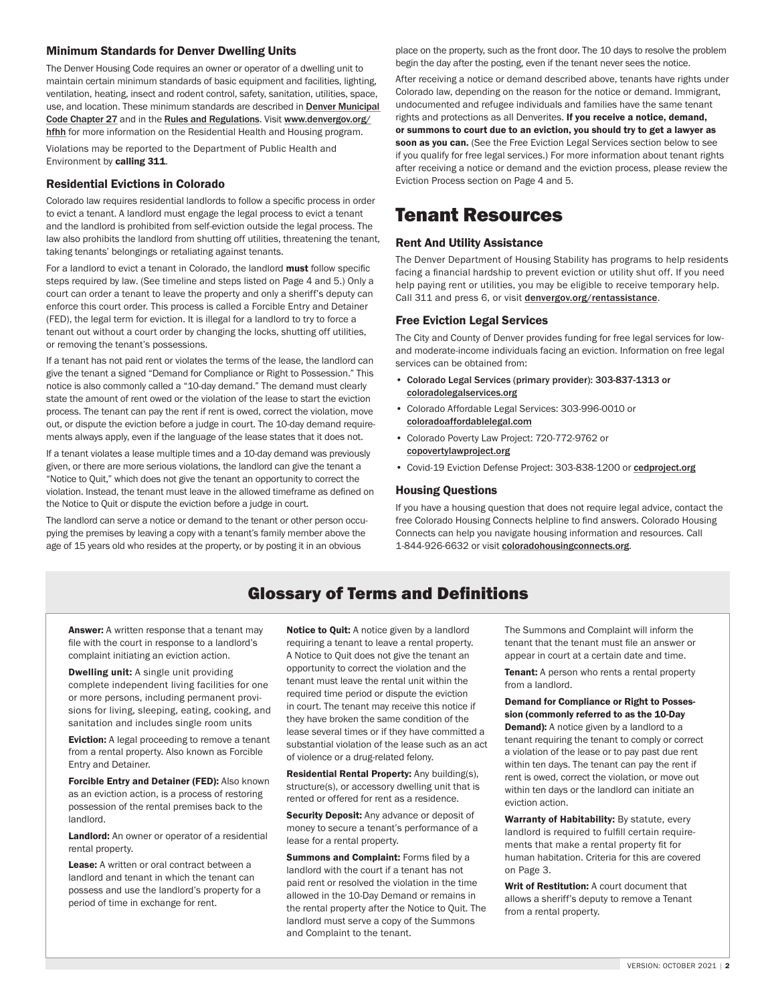#### Minimum Standards for Denver Dwelling Units

The Denver Housing Code requires an owner or operator of a dwelling unit to maintain certain minimum standards of basic equipment and facilities, lighting, ventilation, heating, insect and rodent control, safety, sanitation, utilities, space, use, and location. These minimum standards are described in Denver Municipal [Code Chapter 27](https://library.municode.com/co/denver/codes/code_of_ordinances?nodeId=TITIIREMUCO_CH27HO) and in the [Rules and Regulations](https://www.denvergov.org/content/dam/denvergov/Portals/771/documents/PHI/HFHH/Residential-Housing-Regulation.pdf). Visit [www.denvergov.org/](https://www.denvergov.org/Government/Agencies-Departments-Offices/Public-Health-Environment/Public-Health-Investigations/Healthy-Families-Healthy-Homes) [hfhh](https://www.denvergov.org/Government/Agencies-Departments-Offices/Public-Health-Environment/Public-Health-Investigations/Healthy-Families-Healthy-Homes) for more information on the Residential Health and Housing program. Violations may be reported to the Department of Public Health and Environment by calling 311.

#### Residential Evictions in Colorado

Colorado law requires residential landlords to follow a specific process in order to evict a tenant. A landlord must engage the legal process to evict a tenant and the landlord is prohibited from self-eviction outside the legal process. The law also prohibits the landlord from shutting off utilities, threatening the tenant, taking tenants' belongings or retaliating against tenants.

For a landlord to evict a tenant in Colorado, the landlord **must** follow specific steps required by law. (See timeline and steps listed on Page 4 and 5.) Only a court can order a tenant to leave the property and only a sheriff's deputy can enforce this court order. This process is called a Forcible Entry and Detainer (FED), the legal term for eviction. It is illegal for a landlord to try to force a tenant out without a court order by changing the locks, shutting off utilities, or removing the tenant's possessions.

If a tenant has not paid rent or violates the terms of the lease, the landlord can give the tenant a signed "Demand for Compliance or Right to Possession." This notice is also commonly called a "10-day demand." The demand must clearly state the amount of rent owed or the violation of the lease to start the eviction process. The tenant can pay the rent if rent is owed, correct the violation, move out, or dispute the eviction before a judge in court. The 10-day demand requirements always apply, even if the language of the lease states that it does not.

If a tenant violates a lease multiple times and a 10-day demand was previously given, or there are more serious violations, the landlord can give the tenant a "Notice to Quit," which does not give the tenant an opportunity to correct the violation. Instead, the tenant must leave in the allowed timeframe as defined on the Notice to Quit or dispute the eviction before a judge in court.

The landlord can serve a notice or demand to the tenant or other person occupying the premises by leaving a copy with a tenant's family member above the age of 15 years old who resides at the property, or by posting it in an obvious

place on the property, such as the front door. The 10 days to resolve the problem begin the day after the posting, even if the tenant never sees the notice.

After receiving a notice or demand described above, tenants have rights under Colorado law, depending on the reason for the notice or demand. Immigrant, undocumented and refugee individuals and families have the same tenant rights and protections as all Denverites. If you receive a notice, demand, or summons to court due to an eviction, you should try to get a lawyer as soon as you can. (See the Free Eviction Legal Services section below to see if you qualify for free legal services.) For more information about tenant rights after receiving a notice or demand and the eviction process, please review the Eviction Process section on Page 4 and 5.

# Tenant Resources

#### Rent And Utility Assistance

The Denver Department of Housing Stability has programs to help residents facing a financial hardship to prevent eviction or utility shut off. If you need help paying rent or utilities, you may be eligible to receive temporary help. Call 311 and press 6, or visit [denvergov.org/rentassistance](https://denvergov.org/Government/Agencies-Departments-Offices/Department-of-Housing-Stability/Resident-Resources/Rent-and-Utility-Assistance).

#### Free Eviction Legal Services

The City and County of Denver provides funding for free legal services for lowand moderate-income individuals facing an eviction. Information on free legal services can be obtained from:

- Colorado Legal Services (primary provider): 303-837-1313 or [coloradolegalservices.org](https://www.coloradolegalservices.org/)
- Colorado Affordable Legal Services: 303-996-0010 or [coloradoaffordablelegal.com](https://coloradoaffordablelegal.com/)
- Colorado Poverty Law Project: 720-772-9762 or [copovertylawproject.org](https://www.copovertylawproject.org/)
- Covid-19 Eviction Defense Project: 303-838-1200 or [cedproject.org](https://cedproject.org/)

#### Housing Questions

If you have a housing question that does not require legal advice, contact the free Colorado Housing Connects helpline to find answers. Colorado Housing Connects can help you navigate housing information and resources. Call 1-844-926-6632 or visit [coloradohousingconnects.org](https://coloradohousingconnects.org/).

### Glossary of Terms and Definitions

Answer: A written response that a tenant may file with the court in response to a landlord's complaint initiating an eviction action.

Dwelling unit: A single unit providing complete independent living facilities for one or more persons, including permanent provisions for living, sleeping, eating, cooking, and sanitation and includes single room units

**Eviction:** A legal proceeding to remove a tenant from a rental property. Also known as Forcible Entry and Detainer.

Forcible Entry and Detainer (FED): Also known as an eviction action, is a process of restoring possession of the rental premises back to the landlord.

Landlord: An owner or operator of a residential rental property.

Lease: A written or oral contract between a landlord and tenant in which the tenant can possess and use the landlord's property for a period of time in exchange for rent.

Notice to Quit: A notice given by a landlord requiring a tenant to leave a rental property. A Notice to Quit does not give the tenant an opportunity to correct the violation and the tenant must leave the rental unit within the required time period or dispute the eviction in court. The tenant may receive this notice if they have broken the same condition of the lease several times or if they have committed a substantial violation of the lease such as an act of violence or a drug-related felony.

Residential Rental Property: Any building(s), structure(s), or accessory dwelling unit that is rented or offered for rent as a residence.

Security Deposit: Any advance or deposit of money to secure a tenant's performance of a lease for a rental property.

Summons and Complaint: Forms filed by a landlord with the court if a tenant has not paid rent or resolved the violation in the time allowed in the 10-Day Demand or remains in the rental property after the Notice to Quit. The landlord must serve a copy of the Summons and Complaint to the tenant.

The Summons and Complaint will inform the tenant that the tenant must file an answer or appear in court at a certain date and time.

Tenant: A person who rents a rental property from a landlord.

#### Demand for Compliance or Right to Possession (commonly referred to as the 10-Day

**Demand):** A notice given by a landlord to a tenant requiring the tenant to comply or correct a violation of the lease or to pay past due rent within ten days. The tenant can pay the rent if rent is owed, correct the violation, or move out within ten days or the landlord can initiate an eviction action.

Warranty of Habitability: By statute, every landlord is required to fulfill certain requirements that make a rental property fit for human habitation. Criteria for this are covered on Page 3.

Writ of Restitution: A court document that allows a sheriff's deputy to remove a Tenant from a rental property.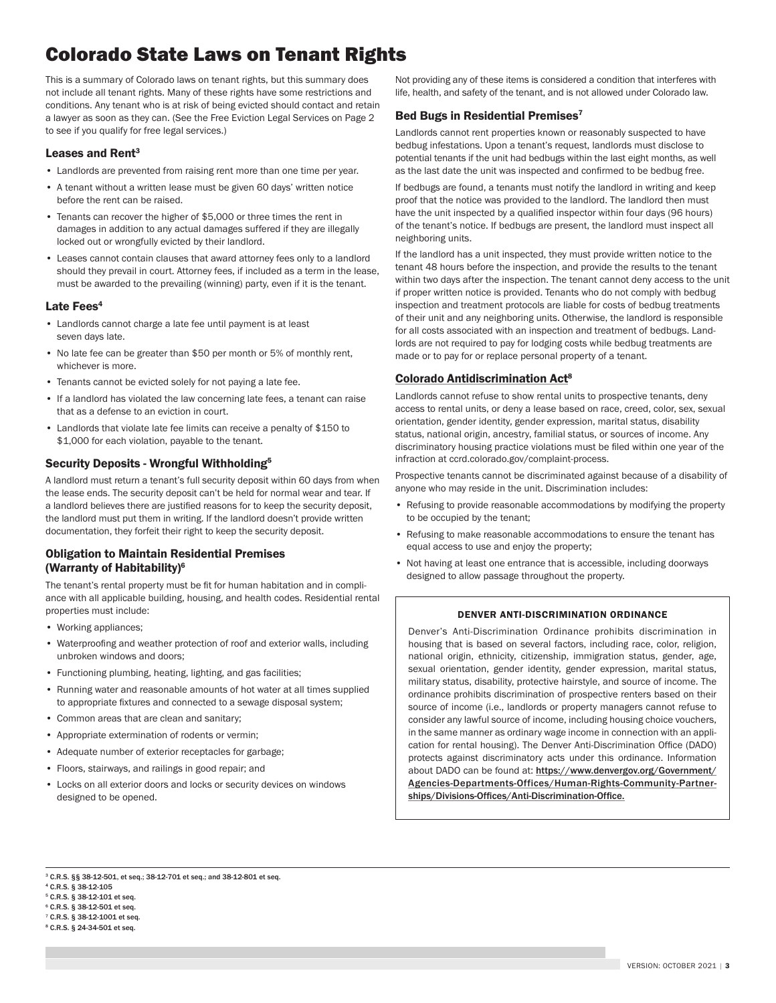# Colorado State Laws on Tenant Rights

This is a summary of Colorado laws on tenant rights, but this summary does not include all tenant rights. Many of these rights have some restrictions and conditions. Any tenant who is at risk of being evicted should contact and retain a lawyer as soon as they can. (See the Free Eviction Legal Services on Page 2 to see if you qualify for free legal services.)

#### Leases and Rent<sup>3</sup>

- Landlords are prevented from raising rent more than one time per year.
- A tenant without a written lease must be given 60 days' written notice before the rent can be raised.
- Tenants can recover the higher of \$5,000 or three times the rent in damages in addition to any actual damages suffered if they are illegally locked out or wrongfully evicted by their landlord.
- Leases cannot contain clauses that award attorney fees only to a landlord should they prevail in court. Attorney fees, if included as a term in the lease, must be awarded to the prevailing (winning) party, even if it is the tenant.

#### Late Fees<sup>4</sup>

- Landlords cannot charge a late fee until payment is at least seven days late.
- No late fee can be greater than \$50 per month or 5% of monthly rent, whichever is more.
- Tenants cannot be evicted solely for not paying a late fee.
- If a landlord has violated the law concerning late fees, a tenant can raise that as a defense to an eviction in court.
- Landlords that violate late fee limits can receive a penalty of \$150 to \$1,000 for each violation, payable to the tenant.

#### Security Deposits - Wrongful Withholding5

A landlord must return a tenant's full security deposit within 60 days from when the lease ends. The security deposit can't be held for normal wear and tear. If a landlord believes there are justified reasons for to keep the security deposit, the landlord must put them in writing. If the landlord doesn't provide written documentation, they forfeit their right to keep the security deposit.

#### Obligation to Maintain Residential Premises (Warranty of Habitability)6

The tenant's rental property must be fit for human habitation and in compliance with all applicable building, housing, and health codes. Residential rental properties must include:

- Working appliances;
- Waterproofing and weather protection of roof and exterior walls, including unbroken windows and doors;
- Functioning plumbing, heating, lighting, and gas facilities;
- Running water and reasonable amounts of hot water at all times supplied to appropriate fixtures and connected to a sewage disposal system;
- Common areas that are clean and sanitary;
- Appropriate extermination of rodents or vermin;
- Adequate number of exterior receptacles for garbage;
- Floors, stairways, and railings in good repair; and
- Locks on all exterior doors and locks or security devices on windows designed to be opened.

Not providing any of these items is considered a condition that interferes with life, health, and safety of the tenant, and is not allowed under Colorado law.

#### Bed Bugs in Residential Premises<sup>7</sup>

Landlords cannot rent properties known or reasonably suspected to have bedbug infestations. Upon a tenant's request, landlords must disclose to potential tenants if the unit had bedbugs within the last eight months, as well as the last date the unit was inspected and confirmed to be bedbug free.

If bedbugs are found, a tenants must notify the landlord in writing and keep proof that the notice was provided to the landlord. The landlord then must have the unit inspected by a qualified inspector within four days (96 hours) of the tenant's notice. If bedbugs are present, the landlord must inspect all neighboring units.

If the landlord has a unit inspected, they must provide written notice to the tenant 48 hours before the inspection, and provide the results to the tenant within two days after the inspection. The tenant cannot deny access to the unit if proper written notice is provided. Tenants who do not comply with bedbug inspection and treatment protocols are liable for costs of bedbug treatments of their unit and any neighboring units. Otherwise, the landlord is responsible for all costs associated with an inspection and treatment of bedbugs. Landlords are not required to pay for lodging costs while bedbug treatments are made or to pay for or replace personal property of a tenant.

#### [Colorado Antidiscrimination Act](https://library.municode.com/co/denver/codes/code_of_ordinances?nodeId=TITIIREMUCO_CH28HURI_ARTIVPRDIEMHOCOSPPUACEDINHEWESE_S28-95DIPRREESTR)8

Landlords cannot refuse to show rental units to prospective tenants, deny access to rental units, or deny a lease based on race, creed, color, sex, sexual orientation, gender identity, gender expression, marital status, disability status, national origin, ancestry, familial status, or sources of income. Any discriminatory housing practice violations must be filed within one year of the infraction at ccrd.colorado.gov/complaint-process.

Prospective tenants cannot be discriminated against because of a disability of anyone who may reside in the unit. Discrimination includes:

- Refusing to provide reasonable accommodations by modifying the property to be occupied by the tenant;
- Refusing to make reasonable accommodations to ensure the tenant has equal access to use and enjoy the property;
- Not having at least one entrance that is accessible, including doorways designed to allow passage throughout the property.

#### DENVER ANTI-DISCRIMINATION ORDINANCE

Denver's Anti-Discrimination Ordinance prohibits discrimination in housing that is based on several factors, including race, color, religion, national origin, ethnicity, citizenship, immigration status, gender, age, sexual orientation, gender identity, gender expression, marital status, military status, disability, protective hairstyle, and source of income. The ordinance prohibits discrimination of prospective renters based on their source of income (i.e., landlords or property managers cannot refuse to consider any lawful source of income, including housing choice vouchers, in the same manner as ordinary wage income in connection with an application for rental housing). The Denver Anti-Discrimination Office (DADO) protects against discriminatory acts under this ordinance. Information about DADO can be found at: [https://www.denvergov.org/Government/](https://www.denvergov.org/Government/Agencies-Departments-Offices/Human-Rights-Community-Partnerships/Divisions-Offices/Anti-Discrimination-Office) [Agencies-Departments-Offices/Human-Rights-Community-Partner](https://www.denvergov.org/Government/Agencies-Departments-Offices/Human-Rights-Community-Partnerships/Divisions-Offices/Anti-Discrimination-Office)[ships/Divisions-Offices/Anti-Discrimination-Office](https://www.denvergov.org/Government/Agencies-Departments-Offices/Human-Rights-Community-Partnerships/Divisions-Offices/Anti-Discrimination-Office).

3 C.R.S. §§ 38-12-501, et seq.; 38-12-701 et seq.; and 38-12-801 et seq.

- 4 C.R.S. § 38-12-105
- 5 C.R.S. § 38-12-101 et seq.
- 6 C.R.S. § 38-12-501 et seq.
- 7 C.R.S. § 38-12-1001 et seq. 8 C.R.S. § 24-34-501 et seq.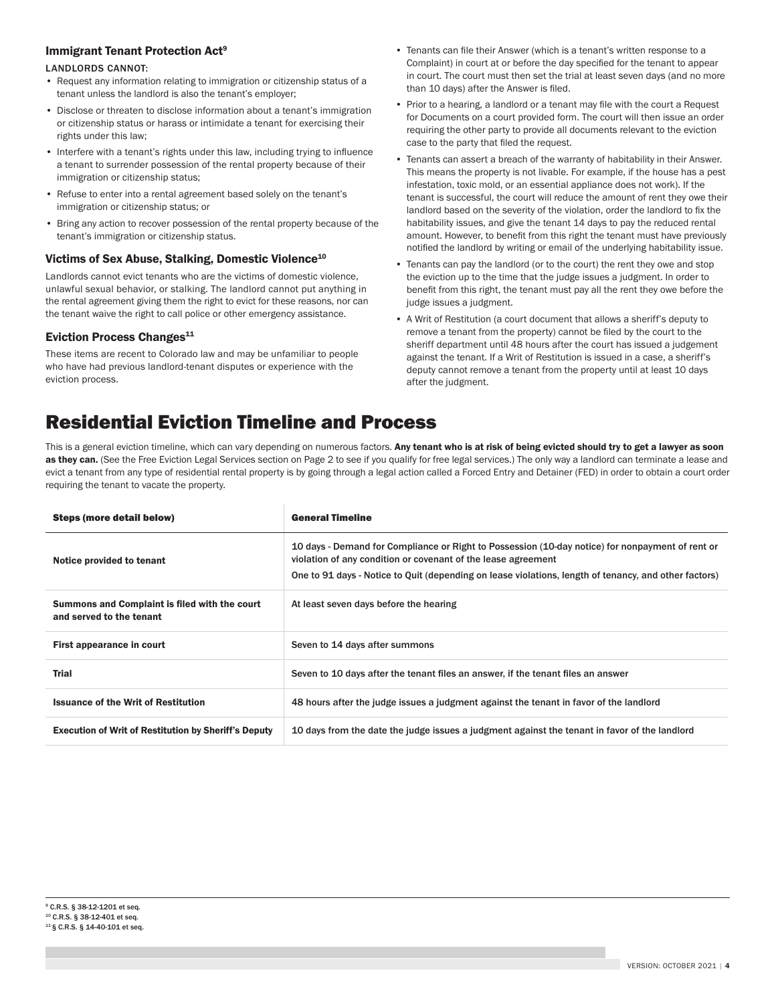#### Immigrant Tenant Protection Act9

#### LANDLORDS CANNOT:

- Request any information relating to immigration or citizenship status of a tenant unless the landlord is also the tenant's employer;
- Disclose or threaten to disclose information about a tenant's immigration or citizenship status or harass or intimidate a tenant for exercising their rights under this law;
- Interfere with a tenant's rights under this law, including trying to influence a tenant to surrender possession of the rental property because of their immigration or citizenship status;
- Refuse to enter into a rental agreement based solely on the tenant's immigration or citizenship status; or
- Bring any action to recover possession of the rental property because of the tenant's immigration or citizenship status.

#### Victims of Sex Abuse, Stalking, Domestic Violence<sup>10</sup>

Landlords cannot evict tenants who are the victims of domestic violence, unlawful sexual behavior, or stalking. The landlord cannot put anything in the rental agreement giving them the right to evict for these reasons, nor can the tenant waive the right to call police or other emergency assistance.

#### Eviction Process Changes $11$

These items are recent to Colorado law and may be unfamiliar to people who have had previous landlord-tenant disputes or experience with the eviction process.

- Tenants can file their Answer (which is a tenant's written response to a Complaint) in court at or before the day specified for the tenant to appear in court. The court must then set the trial at least seven days (and no more than 10 days) after the Answer is filed.
- Prior to a hearing, a landlord or a tenant may file with the court a Request for Documents on a court provided form. The court will then issue an order requiring the other party to provide all documents relevant to the eviction case to the party that filed the request.
- Tenants can assert a breach of the warranty of habitability in their Answer. This means the property is not livable. For example, if the house has a pest infestation, toxic mold, or an essential appliance does not work). If the tenant is successful, the court will reduce the amount of rent they owe their landlord based on the severity of the violation, order the landlord to fix the habitability issues, and give the tenant 14 days to pay the reduced rental amount. However, to benefit from this right the tenant must have previously notified the landlord by writing or email of the underlying habitability issue.
- Tenants can pay the landlord (or to the court) the rent they owe and stop the eviction up to the time that the judge issues a judgment. In order to benefit from this right, the tenant must pay all the rent they owe before the judge issues a judgment.
- A Writ of Restitution (a court document that allows a sheriff's deputy to remove a tenant from the property) cannot be filed by the court to the sheriff department until 48 hours after the court has issued a judgement against the tenant. If a Writ of Restitution is issued in a case, a sheriff's deputy cannot remove a tenant from the property until at least 10 days after the judgment.

# Residential Eviction Timeline and Process

This is a general eviction timeline, which can vary depending on numerous factors. Any tenant who is at risk of being evicted should try to get a lawyer as soon as they can. (See the Free Eviction Legal Services section on Page 2 to see if you qualify for free legal services.) The only way a landlord can terminate a lease and evict a tenant from any type of residential rental property is by going through a legal action called a Forced Entry and Detainer (FED) in order to obtain a court order requiring the tenant to vacate the property.

| <b>Steps (more detail below)</b>                                          | <b>General Timeline</b>                                                                                                                                                                                                                                                    |
|---------------------------------------------------------------------------|----------------------------------------------------------------------------------------------------------------------------------------------------------------------------------------------------------------------------------------------------------------------------|
| Notice provided to tenant                                                 | 10 days - Demand for Compliance or Right to Possession (10-day notice) for nonpayment of rent or<br>violation of any condition or covenant of the lease agreement<br>One to 91 days - Notice to Quit (depending on lease violations, length of tenancy, and other factors) |
| Summons and Complaint is filed with the court<br>and served to the tenant | At least seven days before the hearing                                                                                                                                                                                                                                     |
| First appearance in court                                                 | Seven to 14 days after summons                                                                                                                                                                                                                                             |
| <b>Trial</b>                                                              | Seven to 10 days after the tenant files an answer, if the tenant files an answer                                                                                                                                                                                           |
| <b>Issuance of the Writ of Restitution</b>                                | 48 hours after the judge issues a judgment against the tenant in favor of the landlord                                                                                                                                                                                     |
| <b>Execution of Writ of Restitution by Sheriff's Deputy</b>               | 10 days from the date the judge issues a judgment against the tenant in favor of the landlord                                                                                                                                                                              |